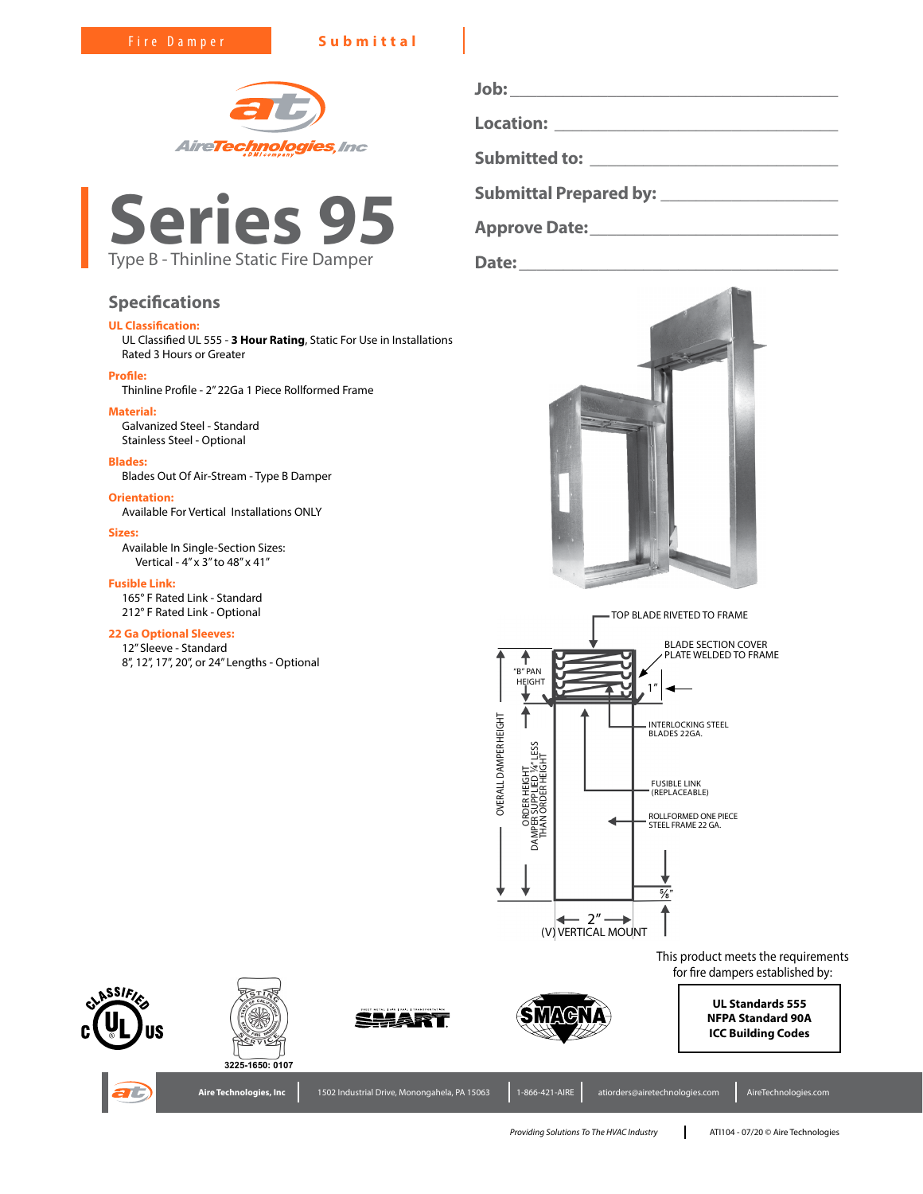Fire Damper **Submittal**





## **Specifications**

## **UL Classification:**

UL Classified UL 555 - **3 Hour Rating**, Static For Use in Installations Rated 3 Hours or Greater

## **Profile:**

Thinline Profile - 2" 22Ga 1 Piece Rollformed Frame

## **Material:**

Galvanized Steel - Standard Stainless Steel - Optional

#### **Blades:**

Blades Out Of Air-Stream - Type B Damper

# **Orientation:**

Available For Vertical Installations ONLY

### **Sizes:**

Available In Single-Section Sizes: Vertical - 4" x 3" to 48" x 41"

#### **Fusible Link:**

165° F Rated Link - Standard 212° F Rated Link - Optional

## **22 Ga Optional Sleeves:**

12" Sleeve - Standard 8", 12", 17", 20", or 24" Lengths - Optional

**Job: \_\_\_\_\_\_\_\_\_\_\_\_\_\_\_\_\_\_\_\_\_\_\_\_\_\_\_\_\_\_\_\_\_\_\_\_\_ Location: \_\_\_\_\_\_\_\_\_\_\_\_\_\_\_\_\_\_\_\_\_\_\_\_\_\_\_\_\_\_\_\_ Submitted to: \_\_\_\_\_\_\_\_\_\_\_\_\_\_\_\_\_\_\_\_\_\_\_\_\_\_\_\_ Submittal Prepared by: \_\_\_\_\_\_\_\_\_\_\_\_\_\_\_\_\_\_\_\_**

**Approve Date:\_\_\_\_\_\_\_\_\_\_\_\_\_\_\_\_\_\_\_\_\_\_\_\_\_\_\_\_**









**3225-1650: 0107**







Aire Technologies, Inc 1502 Industrial Drive, Monongahela, PA 15063 1-866-421-AIRE atiorders@airetechnologies.com AireTechnologies.com

*Providing Solutions To The HVAC Industry* ATI104 - 07/20 © Aire Technologies